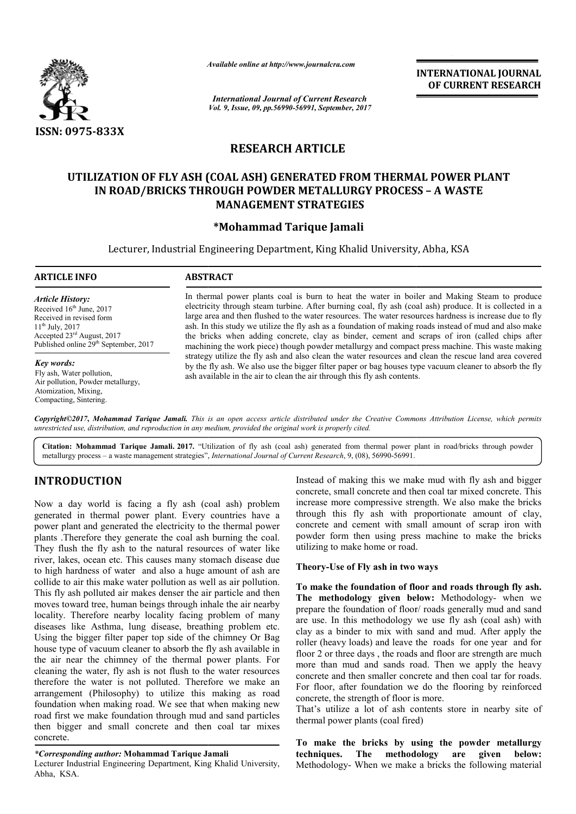

*Available online at http://www.journal http://www.journalcra.com*

*International Journal of Current Research Vol. 9, Issue, 09, pp.56990-56991, September, 2017* **INTERNATIONAL JOURNAL OF CURRENT RESEARCH** 

# **RESEARCH ARTICLE**

# **UTILIZATION OF FLY ASH (COAL ASH) GENERATED FROM THERMAL POWER PLANT FROM THERMAL – A WASTE IN ROAD/BRICKS THROUGH POWDER METALLURGY PROCESS BRICKS MANAGEMENT STRATEGIES**

### **\*Mohammad Tarique Jamali**

Lecturer, Industrial Engineering Department, King Khalid University, Abha, KSA

#### **ARTICLE INFO ABSTRACT**

*Article History:* Received 16<sup>th</sup> June, 2017 Received in revised form 11th July, 2017 Accepted 23rd August, 2017 Published online 29<sup>th</sup> September, 2017

*Key words:* Fly ash, Water pollution, Air pollution, Powder metallurgy, Atomization, Mixing, Compacting, Sintering.

In thermal power plants coal is burn to heat the water in boiler and Making Steam to produce electricity through steam turbine. After burning coal, fly ash (coal ash) produce. It is collected in a large area and then flushed to the water resources. The water resources hardness is increase due to fly ash. In this study we utilize the fly ash as a foundation of making roads instead of mud and also make the bricks when adding concrete, clay as binder, cement and scraps of iron (called chips after machining the work piece) though powder metallurgy and compact press machine strategy utilize the f fly ash and also clean the water resources and clean the rescue land area covered by the fly ash. We also use the bigger filter paper or bag houses type vacuum cleaner to absorb the fly ash available in the air to clean the air through this fly ash contents large area and then flushed to the water resources. The water resources hardness is increase due to fly ash. In this study we utilize the fly ash as a foundation of making roads instead of mud and also make the bricks when strategy utilize the fly ash and also clean the water resources and clean the rescue land area covered<br>by the fly ash. We also use the bigger filter paper or bag houses type vacuum cleaner to absorb the fly<br>ash available i

*Copyright©2017***,** *Mohammad Tarique Jamali. This is an open access article distributed under the Creative Commons Att is distributed Attribution License, which permits unrestricted use, distribution, and reproduction in any medium, provided the original work is properly cited.*

Citation: Mohammad Tarique Jamali. 2017. "Utilization of fly ash (coal ash) generated from thermal power plant in road/bricks through powder Citation: Mohammad Tarique Jamali. 2017. "Utilization of fly ash (coal ash) generated from thermal power<br>metallurgy process – a waste management strategies", *International Journal of Current Research*, 9, (08), 56990-5699

# **INTRODUCTION**

Now a day world is facing a fly ash (coal ash) problem generated in thermal power plant. Every countries have a power plant and generated the electricity to the thermal power plants .Therefore they generate the coal ash burning the coal. They flush the fly ash to the natural resources of water like river, lakes, ocean etc. This causes many stomach disease due to high hardness of water and also a huge amount of ash are collide to air this make water pollution as well as air pollution. This fly ash polluted air makes denser the air particle and then moves toward tree, human beings through inhale the air nearby locality. Therefore nearby locality facing problem of many diseases like Asthma, lung disease, breathing problem etc. Using the bigger filter paper top side of the chimney Or Bag house type of vacuum cleaner to absorb the fly ash available in the air near the chimney of the thermal power plants. For cleaning the water, fly ash is not flush to the water resources therefore the water is not polluted. Therefore we make an arrangement (Philosophy) to utilize this making as road foundation when making road. We see that when making new road first we make foundation through mud and sand particles then bigger and small concrete and then coal tar mixes concrete.

#### *\*Corresponding author:* **Mohammad Tarique Jamali**

Lecturer Industrial Engineering Department, King Khalid University, Abha, KSA.

concrete, small concrete and then coal tar mixed concrete. This increase more compressive strength. We also make the bricks through this fly ash with proportionate amount of clay, concrete and cement with small amount of scrap iron with powder form then using press machine to make the bricks utilizing to make home or road. Instead of making this we make mud with fly ash and l<br>concrete, small concrete and then coal tar mixed concrete<br>increase more compressive strength. We also make the<br>through this fly ash with proportionate amount of<br>concret

#### **Theory-Use of Fly ash in two ways**

Instead of making this we make mud with fly ash and bigger<br>
a fly ash (coal ash) problem<br>
increase more compressive strength. We also make the bricks<br>
plant. Every countries have a through this fly ash with proportionate a **To make the foundation of floor and roads through fly ash.**  Theory-Use of Fly ash in two ways<br>To make the foundation of floor and roads through fly ash.<br>The methodology given below: Methodology- when we prepare the foundation of floor/ roads generally mud and sand prepare the foundation of floor/ roads generally mud and sand<br>are use. In this methodology we use fly ash (coal ash) with clay as a binder to mix with sand and mud. After apply the roller (heavy loads) and leave the roads for one year and for floor 2 or three days , the roads and floor are strength are much more than mud and sands road. Then we apply the heavy concrete and then smaller concrete and then coal tar For floor, after foundation we do the flooring by reinforced concrete, the strength of floor is more. the roads and floor are strength are much<br>sands road. Then we apply the heavy<br>ller concrete and then coal tar for roads. INTERNATIONAL JOURNAL<br>
OF CURRENT RESEARCH<br>
OF CURRENT RESEARCH<br>
SOF CURRENT RESEARCH<br>
SOF A WASTE<br>
EXAMPLE SOFT AND SOFT AND SOFT AND SOFT AND AND SOFT AND SOFT AND SOME AND produce that is collected in a groads instead o

That's utilize a lot of ash contents store in nearby site of thermal power plants (coal fired) For floor, after foundation we do the flooring by reinforcencrete, the strength of floor is more.<br>That's utilize a lot of ash contents store in nearby site thermal power plants (coal fired)

**To make the bricks by using the powder metallurgy**  To make the bricks by using the powder metallurgy techniques. The methodology are given below: Methodology- When we make a bricks the following material